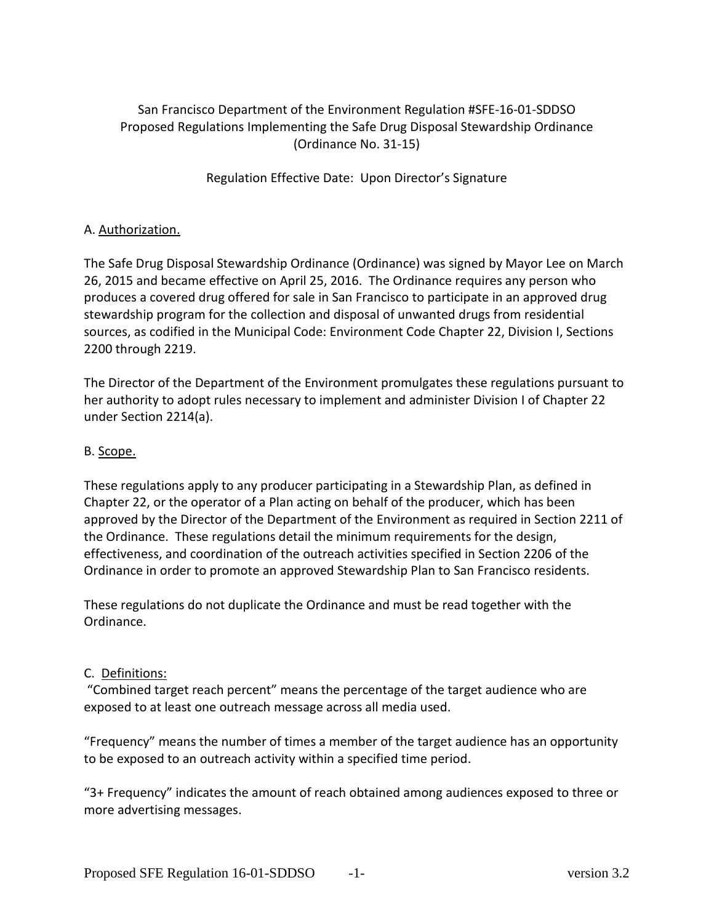# San Francisco Department of the Environment Regulation #SFE-16-01-SDDSO Proposed Regulations Implementing the Safe Drug Disposal Stewardship Ordinance (Ordinance No. 31-15)

Regulation Effective Date: Upon Director's Signature

### A. Authorization.

The Safe Drug Disposal Stewardship Ordinance (Ordinance) was signed by Mayor Lee on March 26, 2015 and became effective on April 25, 2016. The Ordinance requires any person who produces a covered drug offered for sale in San Francisco to participate in an approved drug stewardship program for the collection and disposal of unwanted drugs from residential sources, as codified in the Municipal Code: Environment Code Chapter 22, Division I, Sections 2200 through 2219.

The Director of the Department of the Environment promulgates these regulations pursuant to her authority to adopt rules necessary to implement and administer Division I of Chapter 22 under Section 2214(a).

#### B. Scope.

These regulations apply to any producer participating in a Stewardship Plan, as defined in Chapter 22, or the operator of a Plan acting on behalf of the producer, which has been approved by the Director of the Department of the Environment as required in Section 2211 of the Ordinance. These regulations detail the minimum requirements for the design, effectiveness, and coordination of the outreach activities specified in Section 2206 of the Ordinance in order to promote an approved Stewardship Plan to San Francisco residents.

These regulations do not duplicate the Ordinance and must be read together with the Ordinance.

#### C. Definitions:

"Combined target reach percent" means the percentage of the target audience who are exposed to at least one outreach message across all media used.

"Frequency" means the number of times a member of the target audience has an opportunity to be exposed to an outreach activity within a specified time period.

"3+ Frequency" indicates the amount of reach obtained among audiences exposed to three or more advertising messages.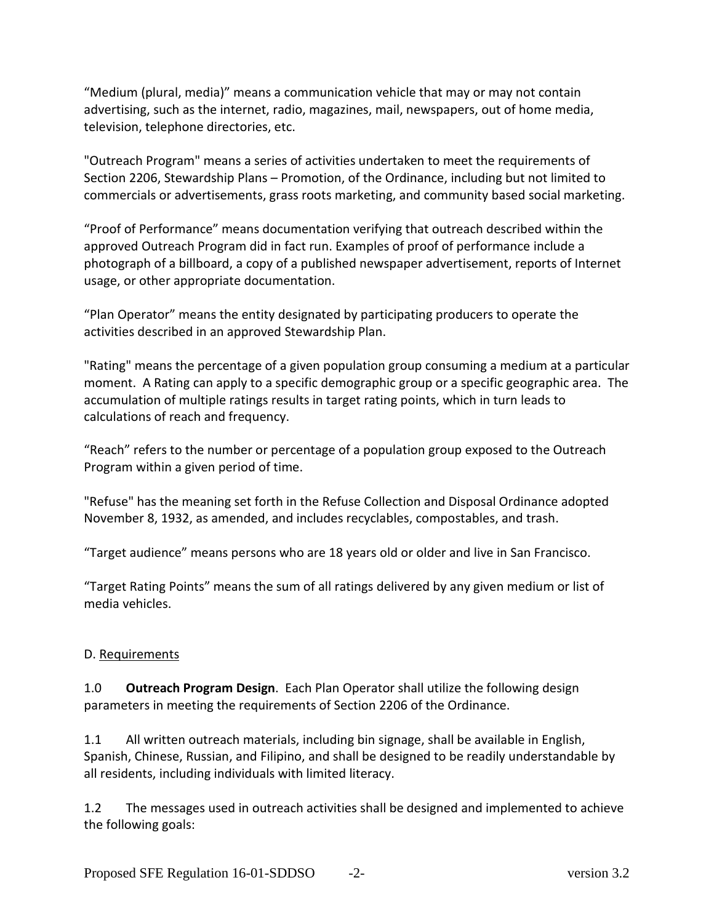"Medium (plural, media)" means a communication vehicle that may or may not contain advertising, such as the internet, radio, magazines, mail, newspapers, out of home media, television, telephone directories, etc.

"Outreach Program" means a series of activities undertaken to meet the requirements of Section 2206, Stewardship Plans – Promotion, of the Ordinance, including but not limited to commercials or advertisements, grass roots marketing, and community based social marketing.

"Proof of Performance" means documentation verifying that outreach described within the approved Outreach Program did in fact run. Examples of proof of performance include a photograph of a billboard, a copy of a published newspaper advertisement, reports of Internet usage, or other appropriate documentation.

"Plan Operator" means the entity designated by participating producers to operate the activities described in an approved Stewardship Plan.

"Rating" means the percentage of a given population group consuming a medium at a particular moment. A Rating can apply to a specific demographic group or a specific geographic area. The accumulation of multiple ratings results in target rating points, which in turn leads to calculations of reach and frequency.

"Reach" refers to the number or percentage of a population group exposed to the Outreach Program within a given period of time.

"Refuse" has the meaning set forth in the Refuse Collection and Disposal Ordinance adopted November 8, 1932, as amended, and includes recyclables, compostables, and trash.

"Target audience" means persons who are 18 years old or older and live in San Francisco.

"Target Rating Points" means the sum of all ratings delivered by any given medium or list of media vehicles.

## D. Requirements

1.0 **Outreach Program Design**. Each Plan Operator shall utilize the following design parameters in meeting the requirements of Section 2206 of the Ordinance.

1.1 All written outreach materials, including bin signage, shall be available in English, Spanish, Chinese, Russian, and Filipino, and shall be designed to be readily understandable by all residents, including individuals with limited literacy.

1.2 The messages used in outreach activities shall be designed and implemented to achieve the following goals: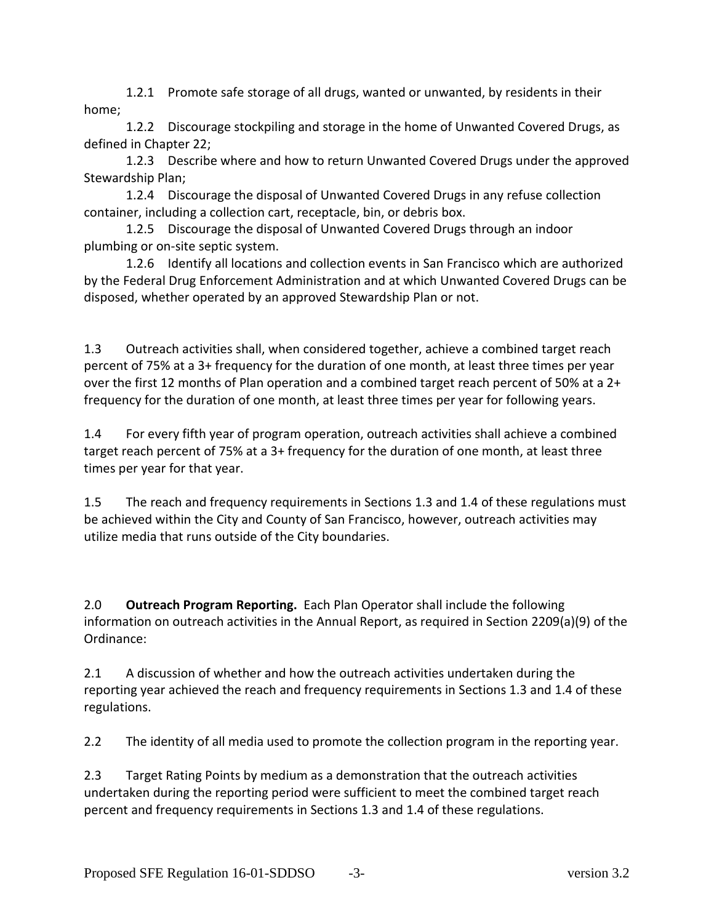1.2.1 Promote safe storage of all drugs, wanted or unwanted, by residents in their home;

1.2.2 Discourage stockpiling and storage in the home of Unwanted Covered Drugs, as defined in Chapter 22;

1.2.3 Describe where and how to return Unwanted Covered Drugs under the approved Stewardship Plan;

1.2.4 Discourage the disposal of Unwanted Covered Drugs in any refuse collection container, including a collection cart, receptacle, bin, or debris box.

1.2.5 Discourage the disposal of Unwanted Covered Drugs through an indoor plumbing or on-site septic system.

1.2.6 Identify all locations and collection events in San Francisco which are authorized by the Federal Drug Enforcement Administration and at which Unwanted Covered Drugs can be disposed, whether operated by an approved Stewardship Plan or not.

1.3 Outreach activities shall, when considered together, achieve a combined target reach percent of 75% at a 3+ frequency for the duration of one month, at least three times per year over the first 12 months of Plan operation and a combined target reach percent of 50% at a 2+ frequency for the duration of one month, at least three times per year for following years.

1.4 For every fifth year of program operation, outreach activities shall achieve a combined target reach percent of 75% at a 3+ frequency for the duration of one month, at least three times per year for that year.

1.5 The reach and frequency requirements in Sections 1.3 and 1.4 of these regulations must be achieved within the City and County of San Francisco, however, outreach activities may utilize media that runs outside of the City boundaries.

2.0 **Outreach Program Reporting.** Each Plan Operator shall include the following information on outreach activities in the Annual Report, as required in Section 2209(a)(9) of the Ordinance:

2.1 A discussion of whether and how the outreach activities undertaken during the reporting year achieved the reach and frequency requirements in Sections 1.3 and 1.4 of these regulations.

2.2 The identity of all media used to promote the collection program in the reporting year.

2.3 Target Rating Points by medium as a demonstration that the outreach activities undertaken during the reporting period were sufficient to meet the combined target reach percent and frequency requirements in Sections 1.3 and 1.4 of these regulations.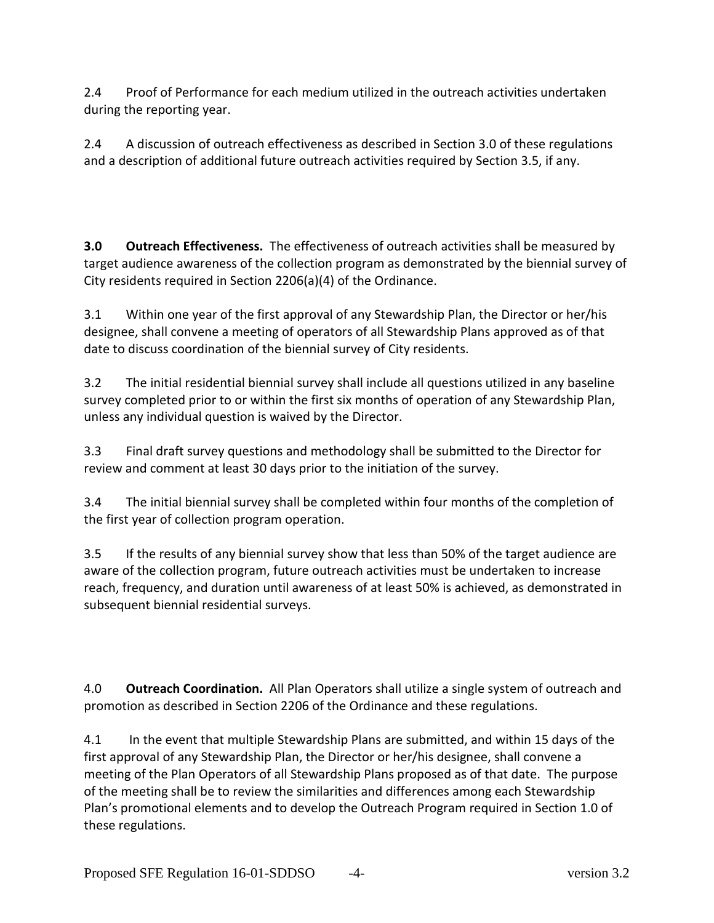2.4 Proof of Performance for each medium utilized in the outreach activities undertaken during the reporting year.

2.4 A discussion of outreach effectiveness as described in Section 3.0 of these regulations and a description of additional future outreach activities required by Section 3.5, if any.

**3.0 Outreach Effectiveness.** The effectiveness of outreach activities shall be measured by target audience awareness of the collection program as demonstrated by the biennial survey of City residents required in Section 2206(a)(4) of the Ordinance.

3.1 Within one year of the first approval of any Stewardship Plan, the Director or her/his designee, shall convene a meeting of operators of all Stewardship Plans approved as of that date to discuss coordination of the biennial survey of City residents.

3.2 The initial residential biennial survey shall include all questions utilized in any baseline survey completed prior to or within the first six months of operation of any Stewardship Plan, unless any individual question is waived by the Director.

3.3 Final draft survey questions and methodology shall be submitted to the Director for review and comment at least 30 days prior to the initiation of the survey.

3.4 The initial biennial survey shall be completed within four months of the completion of the first year of collection program operation.

3.5 If the results of any biennial survey show that less than 50% of the target audience are aware of the collection program, future outreach activities must be undertaken to increase reach, frequency, and duration until awareness of at least 50% is achieved, as demonstrated in subsequent biennial residential surveys.

4.0 **Outreach Coordination.** All Plan Operators shall utilize a single system of outreach and promotion as described in Section 2206 of the Ordinance and these regulations.

4.1 In the event that multiple Stewardship Plans are submitted, and within 15 days of the first approval of any Stewardship Plan, the Director or her/his designee, shall convene a meeting of the Plan Operators of all Stewardship Plans proposed as of that date. The purpose of the meeting shall be to review the similarities and differences among each Stewardship Plan's promotional elements and to develop the Outreach Program required in Section 1.0 of these regulations.